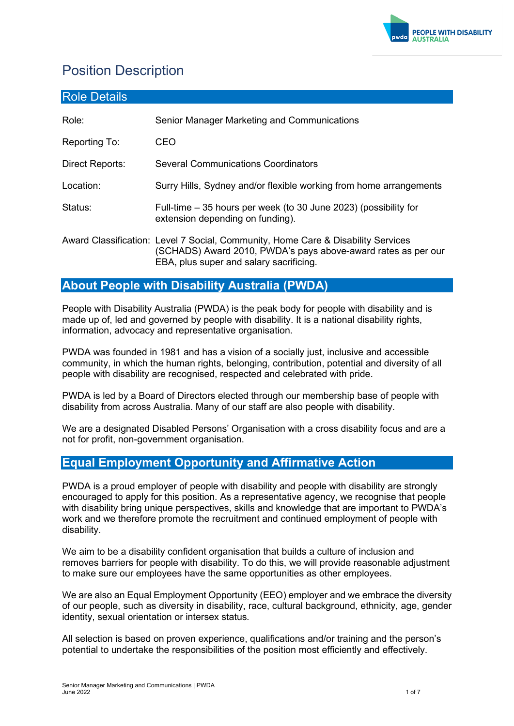

# Position Description

| <b>Role Details</b> |                                                                                                                                                                                              |
|---------------------|----------------------------------------------------------------------------------------------------------------------------------------------------------------------------------------------|
| Role:               | Senior Manager Marketing and Communications                                                                                                                                                  |
| Reporting To:       | CEO                                                                                                                                                                                          |
| Direct Reports:     | <b>Several Communications Coordinators</b>                                                                                                                                                   |
| Location:           | Surry Hills, Sydney and/or flexible working from home arrangements                                                                                                                           |
| Status:             | Full-time – 35 hours per week (to 30 June 2023) (possibility for<br>extension depending on funding).                                                                                         |
|                     | Award Classification: Level 7 Social, Community, Home Care & Disability Services<br>(SCHADS) Award 2010, PWDA's pays above-award rates as per our<br>EBA, plus super and salary sacrificing. |

# **About People with Disability Australia (PWDA)**

People with Disability Australia (PWDA) is the peak body for people with disability and is made up of, led and governed by people with disability. It is a national disability rights, information, advocacy and representative organisation.

PWDA was founded in 1981 and has a vision of a socially just, inclusive and accessible community, in which the human rights, belonging, contribution, potential and diversity of all people with disability are recognised, respected and celebrated with pride.

PWDA is led by a Board of Directors elected through our membership base of people with disability from across Australia. Many of our staff are also people with disability.

We are a designated Disabled Persons' Organisation with a cross disability focus and are a not for profit, non-government organisation.

# **Equal Employment Opportunity and Affirmative Action**

PWDA is a proud employer of people with disability and people with disability are strongly encouraged to apply for this position. As a representative agency, we recognise that people with disability bring unique perspectives, skills and knowledge that are important to PWDA's work and we therefore promote the recruitment and continued employment of people with disability.

We aim to be a disability confident organisation that builds a culture of inclusion and removes barriers for people with disability. To do this, we will provide reasonable adjustment to make sure our employees have the same opportunities as other employees.

We are also an Equal Employment Opportunity (EEO) employer and we embrace the diversity of our people, such as diversity in disability, race, cultural background, ethnicity, age, gender identity, sexual orientation or intersex status*.* 

All selection is based on proven experience, qualifications and/or training and the person's potential to undertake the responsibilities of the position most efficiently and effectively.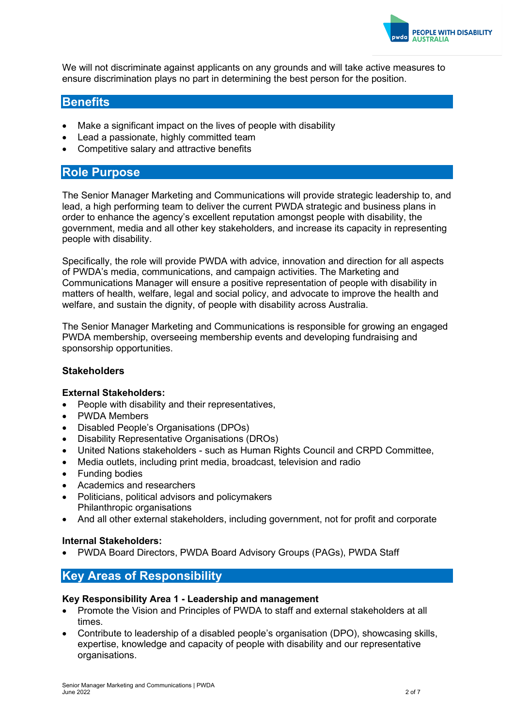

We will not discriminate against applicants on any grounds and will take active measures to ensure discrimination plays no part in determining the best person for the position.

# **Benefits**

- Make a significant impact on the lives of people with disability
- Lead a passionate, highly committed team
- Competitive salary and attractive benefits

# **Role Purpose**

The Senior Manager Marketing and Communications will provide strategic leadership to, and lead, a high performing team to deliver the current PWDA strategic and business plans in order to enhance the agency's excellent reputation amongst people with disability, the government, media and all other key stakeholders, and increase its capacity in representing people with disability.

Specifically, the role will provide PWDA with advice, innovation and direction for all aspects of PWDA's media, communications, and campaign activities. The Marketing and Communications Manager will ensure a positive representation of people with disability in matters of health, welfare, legal and social policy, and advocate to improve the health and welfare, and sustain the dignity, of people with disability across Australia.

The Senior Manager Marketing and Communications is responsible for growing an engaged PWDA membership, overseeing membership events and developing fundraising and sponsorship opportunities.

#### **Stakeholders**

#### **External Stakeholders:**

- People with disability and their representatives,
- PWDA Members
- Disabled People's Organisations (DPOs)
- Disability Representative Organisations (DROs)
- United Nations stakeholders such as Human Rights Council and CRPD Committee,
- Media outlets, including print media, broadcast, television and radio
- Funding bodies
- Academics and researchers
- Politicians, political advisors and policymakers Philanthropic organisations
- And all other external stakeholders, including government, not for profit and corporate

#### **Internal Stakeholders:**

• PWDA Board Directors, PWDA Board Advisory Groups (PAGs), PWDA Staff

## **Key Areas of Responsibility**

#### **Key Responsibility Area 1 - Leadership and management**

- Promote the Vision and Principles of PWDA to staff and external stakeholders at all times.
- Contribute to leadership of a disabled people's organisation (DPO), showcasing skills, expertise, knowledge and capacity of people with disability and our representative organisations.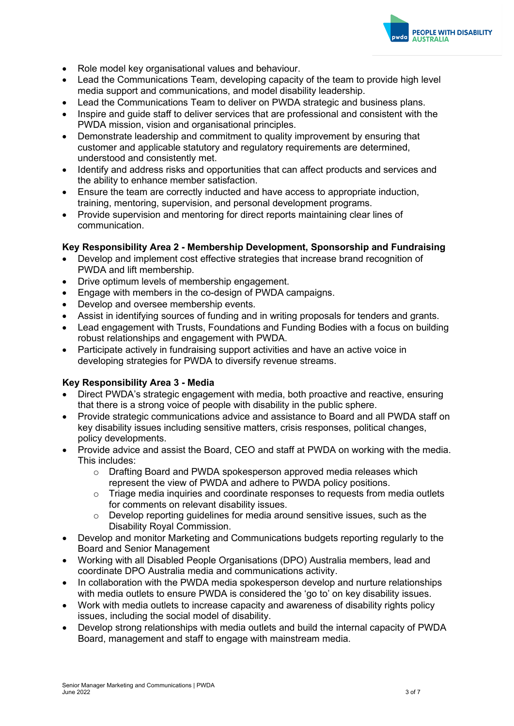

- Role model key organisational values and behaviour.
- Lead the Communications Team, developing capacity of the team to provide high level media support and communications, and model disability leadership.
- Lead the Communications Team to deliver on PWDA strategic and business plans.
- Inspire and guide staff to deliver services that are professional and consistent with the PWDA mission, vision and organisational principles.
- Demonstrate leadership and commitment to quality improvement by ensuring that customer and applicable statutory and regulatory requirements are determined, understood and consistently met.
- Identify and address risks and opportunities that can affect products and services and the ability to enhance member satisfaction.
- Ensure the team are correctly inducted and have access to appropriate induction, training, mentoring, supervision, and personal development programs.
- Provide supervision and mentoring for direct reports maintaining clear lines of communication.

#### **Key Responsibility Area 2 - Membership Development, Sponsorship and Fundraising**

- Develop and implement cost effective strategies that increase brand recognition of PWDA and lift membership.
- Drive optimum levels of membership engagement.
- Engage with members in the co-design of PWDA campaigns.
- Develop and oversee membership events.
- Assist in identifying sources of funding and in writing proposals for tenders and grants.
- Lead engagement with Trusts, Foundations and Funding Bodies with a focus on building robust relationships and engagement with PWDA.
- Participate actively in fundraising support activities and have an active voice in developing strategies for PWDA to diversify revenue streams.

#### **Key Responsibility Area 3 - Media**

- Direct PWDA's strategic engagement with media, both proactive and reactive, ensuring that there is a strong voice of people with disability in the public sphere.
- Provide strategic communications advice and assistance to Board and all PWDA staff on key disability issues including sensitive matters, crisis responses, political changes, policy developments.
- Provide advice and assist the Board, CEO and staff at PWDA on working with the media. This includes:
	- o Drafting Board and PWDA spokesperson approved media releases which represent the view of PWDA and adhere to PWDA policy positions.
	- o Triage media inquiries and coordinate responses to requests from media outlets for comments on relevant disability issues.
	- $\circ$  Develop reporting quidelines for media around sensitive issues, such as the Disability Royal Commission.
- Develop and monitor Marketing and Communications budgets reporting regularly to the Board and Senior Management
- Working with all Disabled People Organisations (DPO) Australia members, lead and coordinate DPO Australia media and communications activity.
- In collaboration with the PWDA media spokesperson develop and nurture relationships with media outlets to ensure PWDA is considered the 'go to' on key disability issues.
- Work with media outlets to increase capacity and awareness of disability rights policy issues, including the social model of disability.
- Develop strong relationships with media outlets and build the internal capacity of PWDA Board, management and staff to engage with mainstream media.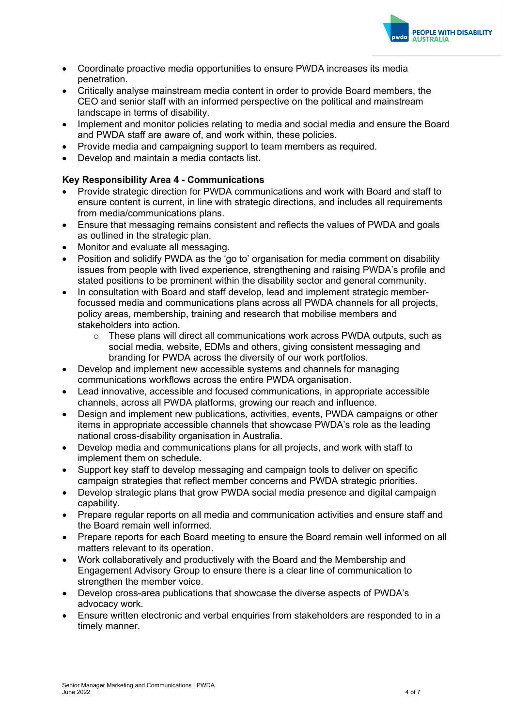

- Coordinate proactive media opportunities to ensure PWDA increases its media penetration.
- Critically analyse mainstream media content in order to provide Board members, the CEO and senior staff with an informed perspective on the political and mainstream landscape in terms of disability.
- Implement and monitor policies relating to media and social media and ensure the Board and PWDA staff are aware of, and work within, these policies.
- Provide media and campaigning support to team members as required.
- Develop and maintain a media contacts list.

### **Key Responsibility Area 4 - Communications**

- Provide strategic direction for PWDA communications and work with Board and staff to ensure content is current, in line with strategic directions, and includes all requirements from media/communications plans.
- Ensure that messaging remains consistent and reflects the values of PWDA and goals as outlined in the strategic plan.
- Monitor and evaluate all messaging.
- Position and solidify PWDA as the 'go to' organisation for media comment on disability issues from people with lived experience, strengthening and raising PWDA's profile and stated positions to be prominent within the disability sector and general community.
- In consultation with Board and staff develop, lead and implement strategic memberfocussed media and communications plans across all PWDA channels for all projects, policy areas, membership, training and research that mobilise members and stakeholders into action.
	- $\circ$  These plans will direct all communications work across PWDA outputs, such as social media, website, EDMs and others, giving consistent messaging and branding for PWDA across the diversity of our work portfolios.
- Develop and implement new accessible systems and channels for managing communications workflows across the entire PWDA organisation.
- Lead innovative, accessible and focused communications, in appropriate accessible channels, across all PWDA platforms, growing our reach and influence.
- Design and implement new publications, activities, events, PWDA campaigns or other items in appropriate accessible channels that showcase PWDA's role as the leading national cross-disability organisation in Australia.
- Develop media and communications plans for all projects, and work with staff to implement them on schedule.
- Support key staff to develop messaging and campaign tools to deliver on specific campaign strategies that reflect member concerns and PWDA strategic priorities.
- Develop strategic plans that grow PWDA social media presence and digital campaign capability.
- Prepare regular reports on all media and communication activities and ensure staff and the Board remain well informed.
- Prepare reports for each Board meeting to ensure the Board remain well informed on all matters relevant to its operation.
- Work collaboratively and productively with the Board and the Membership and Engagement Advisory Group to ensure there is a clear line of communication to strengthen the member voice.
- Develop cross-area publications that showcase the diverse aspects of PWDA's advocacy work.
- Ensure written electronic and verbal enquiries from stakeholders are responded to in a timely manner.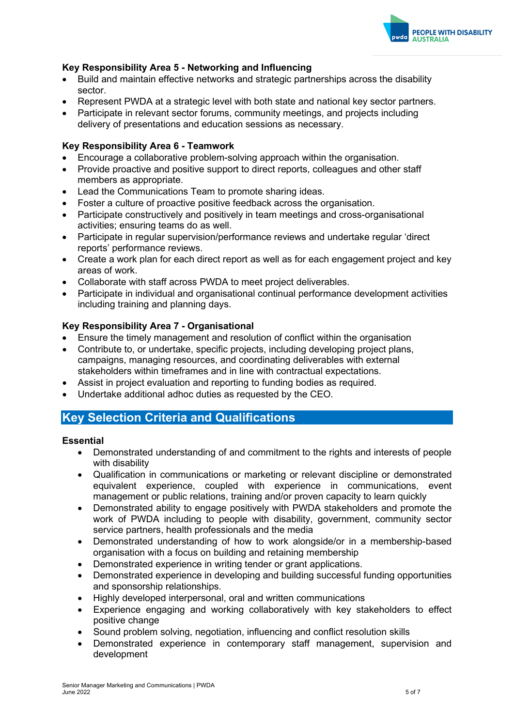

### **Key Responsibility Area 5 - Networking and Influencing**

- Build and maintain effective networks and strategic partnerships across the disability sector.
- Represent PWDA at a strategic level with both state and national key sector partners.
- Participate in relevant sector forums, community meetings, and projects including delivery of presentations and education sessions as necessary.

#### **Key Responsibility Area 6 - Teamwork**

- Encourage a collaborative problem-solving approach within the organisation.
- Provide proactive and positive support to direct reports, colleagues and other staff members as appropriate.
- Lead the Communications Team to promote sharing ideas.
- Foster a culture of proactive positive feedback across the organisation.
- Participate constructively and positively in team meetings and cross-organisational activities; ensuring teams do as well.
- Participate in regular supervision/performance reviews and undertake regular 'direct reports' performance reviews.
- Create a work plan for each direct report as well as for each engagement project and key areas of work.
- Collaborate with staff across PWDA to meet project deliverables.
- Participate in individual and organisational continual performance development activities including training and planning days.

#### **Key Responsibility Area 7 - Organisational**

- Ensure the timely management and resolution of conflict within the organisation
- Contribute to, or undertake, specific projects, including developing project plans, campaigns, managing resources, and coordinating deliverables with external stakeholders within timeframes and in line with contractual expectations.
- Assist in project evaluation and reporting to funding bodies as required.
- Undertake additional adhoc duties as requested by the CEO.

# **Key Selection Criteria and Qualifications**

#### **Essential**

- Demonstrated understanding of and commitment to the rights and interests of people with disability
- Qualification in communications or marketing or relevant discipline or demonstrated equivalent experience, coupled with experience in communications, event management or public relations, training and/or proven capacity to learn quickly
- Demonstrated ability to engage positively with PWDA stakeholders and promote the work of PWDA including to people with disability, government, community sector service partners, health professionals and the media
- Demonstrated understanding of how to work alongside/or in a membership-based organisation with a focus on building and retaining membership
- Demonstrated experience in writing tender or grant applications.
- Demonstrated experience in developing and building successful funding opportunities and sponsorship relationships.
- Highly developed interpersonal, oral and written communications
- Experience engaging and working collaboratively with key stakeholders to effect positive change
- Sound problem solving, negotiation, influencing and conflict resolution skills
- Demonstrated experience in contemporary staff management, supervision and development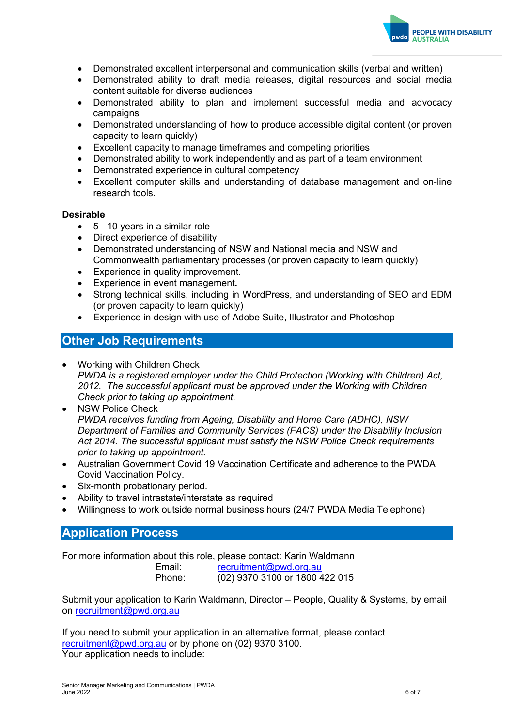

- Demonstrated excellent interpersonal and communication skills (verbal and written)
- Demonstrated ability to draft media releases, digital resources and social media content suitable for diverse audiences
- Demonstrated ability to plan and implement successful media and advocacy campaigns
- Demonstrated understanding of how to produce accessible digital content (or proven capacity to learn quickly)
- Excellent capacity to manage timeframes and competing priorities
- Demonstrated ability to work independently and as part of a team environment
- Demonstrated experience in cultural competency
- Excellent computer skills and understanding of database management and on-line research tools.

#### **Desirable**

- 5 10 years in a similar role
- Direct experience of disability
- Demonstrated understanding of NSW and National media and NSW and Commonwealth parliamentary processes (or proven capacity to learn quickly)
- Experience in quality improvement.
- Experience in event management**.**
- Strong technical skills, including in WordPress, and understanding of SEO and EDM (or proven capacity to learn quickly)
- Experience in design with use of Adobe Suite, Illustrator and Photoshop

## **Other Job Requirements**

- Working with Children Check *PWDA is a registered employer under the Child Protection (Working with Children) Act, 2012. The successful applicant must be approved under the Working with Children Check prior to taking up appointment.*
- NSW Police Check *PWDA receives funding from Ageing, Disability and Home Care (ADHC), NSW Department of Families and Community Services (FACS) under the Disability Inclusion Act 2014. The successful applicant must satisfy the NSW Police Check requirements prior to taking up appointment.*
- Australian Government Covid 19 Vaccination Certificate and adherence to the PWDA Covid Vaccination Policy.
- Six-month probationary period.
- Ability to travel intrastate/interstate as required
- Willingness to work outside normal business hours (24/7 PWDA Media Telephone)

## **Application Process**

For more information about this role, please contact: Karin Waldmann

| Email: | recruitment@pwd.org.au         |
|--------|--------------------------------|
| Phone: | (02) 9370 3100 or 1800 422 015 |

Submit your application to Karin Waldmann, Director – People, Quality & Systems, by email on [recruitment@pwd.org.au](mailto:recruitment@pwd.org.au)

If you need to submit your application in an alternative format, please contact [recruitment@pwd.org.au](mailto:recruitment@pwd.org.au) or by phone on (02) 9370 3100. Your application needs to include: